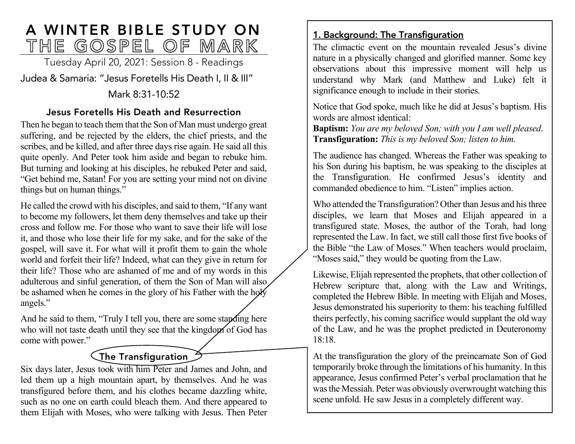# A WINTER BIBLE STUDY ON<br>THE GOSPEL OF MARK

Tuesday April 20, 2021: Session 8 - Readings Judea & Samaria: "Jesus Foretells His Death I, II & III" Mark 8:31-10:52

# Jesus Foretells His Death and Resurrection

Then he began to teach them that the Son of Man must undergo great suffering, and be rejected by the elders, the chief priests, and the scribes, and be killed, and after three days rise again. He said all this quite openly. And Peter took him aside and began to rebuke him. But turning and looking at his disciples, he rebuked Peter and said, "Get behind me, Satan! For you are setting your mind not on divine things but on human things."

He called the crowd with his disciples, and said to them, "If any want to become my followers, let them deny themselves and take up their cross and follow me. For those who want to save their life will lose it, and those who lose their life for my sake, and for the sake of the gospel, will save it. For what will it profit them to gain the whole world and forfeit their life? Indeed, what can they give in return for their life? Those who are ashamed of me and of my words in this adulterous and sinful generation, of them the Son of Man will also be ashamed when he comes in the glory of his Father with the holy angels."

And he said to them, "Truly I tell you, there are some stap ding here who will not taste death until they see that the kingdom of God has come with power."

# The Transfiguration

Six days later, Jesus took with him Peter and James and John, and led them up a high mountain apart, by themselves. And he was transfigured before them, and his clothes became dazzling white, such as no one on earth could bleach them. And there appeared to them Elijah with Moses, who were talking with Jesus. Then Peter

# 1. Background: The Transfiguration

The climactic event on the mountain revealed Jesus's divine nature in a physically changed and glorified manner. Some key observations about this impressive moment will help us understand why Mark (and Matthew and Luke) felt it significance enough to include in their stories.

Notice that God spoke, much like he did at Jesus's baptism. His words are almost identical:

**Baptism:** *You are my beloved Son; with you I am well pleased*. **Transfiguration:** *This is my beloved Son; listen to him.*

The audience has changed. Whereas the Father was speaking to his Son during his baptism, he was speaking to the disciples at the Transfiguration. He confirmed Jesus's identity and commanded obedience to him. "Listen" implies action.

Who attended the Transfiguration? Other than Jesus and his three disciples, we learn that Moses and Elijah appeared in a transfigured state. Moses, the author of the Torah, had long represented the Law. In fact, we still call those first five books of the Bible "the Law of Moses." When teachers would proclaim, "Moses said," they would be quoting from the Law.

Likewise, Elijah represented the prophets, that other collection of Hebrew scripture that, along with the Law and Writings, completed the Hebrew Bible. In meeting with Elijah and Moses, Jesus demonstrated his superiority to them: his teaching fulfilled theirs perfectly, his coming sacrifice would supplant the old way of the Law, and he was the prophet predicted in Deuteronomy 18:18.

At the transfiguration the glory of the preincarnate Son of God temporarily broke through the limitations of his humanity. In this appearance, Jesus confirmed Peter's verbal proclamation that he was the Messiah. Peter was obviously overwrought watching this scene unfold. He saw Jesus in a completely different way.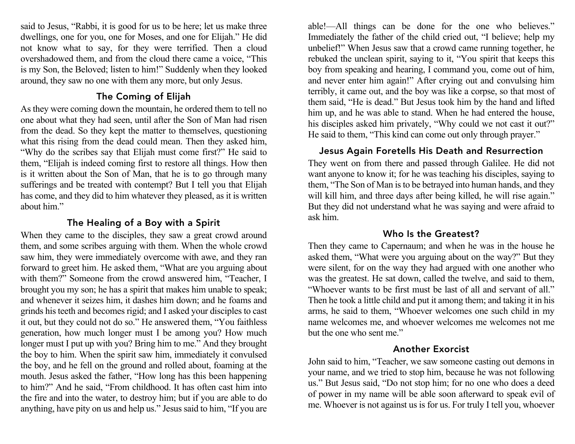said to Jesus, "Rabbi, it is good for us to be here; let us make three dwellings, one for you, one for Moses, and one for Elijah." He did not know what to say, for they were terrified. Then a cloud overshadowed them, and from the cloud there came a voice, "This is my Son, the Beloved; listen to him!" Suddenly when they looked around, they saw no one with them any more, but only Jesus.

#### The Coming of Elijah

As they were coming down the mountain, he ordered them to tell no one about what they had seen, until after the Son of Man had risen from the dead. So they kept the matter to themselves, questioning what this rising from the dead could mean. Then they asked him, "Why do the scribes say that Elijah must come first?" He said to them, "Elijah is indeed coming first to restore all things. How then is it written about the Son of Man, that he is to go through many sufferings and be treated with contempt? But I tell you that Elijah has come, and they did to him whatever they pleased, as it is written about him."

#### The Healing of a Boy with a Spirit

When they came to the disciples, they saw a great crowd around them, and some scribes arguing with them. When the whole crowd saw him, they were immediately overcome with awe, and they ran forward to greet him. He asked them, "What are you arguing about with them?" Someone from the crowd answered him, "Teacher, I brought you my son; he has a spirit that makes him unable to speak; and whenever it seizes him, it dashes him down; and he foams and grinds his teeth and becomes rigid; and I asked your disciples to cast it out, but they could not do so." He answered them, "You faithless generation, how much longer must I be among you? How much longer must I put up with you? Bring him to me." And they brought the boy to him. When the spirit saw him, immediately it convulsed the boy, and he fell on the ground and rolled about, foaming at the mouth. Jesus asked the father, "How long has this been happening to him?" And he said, "From childhood. It has often cast him into the fire and into the water, to destroy him; but if you are able to do anything, have pity on us and help us." Jesus said to him, "If you are

able!—All things can be done for the one who believes." Immediately the father of the child cried out, "I believe; help my unbelief!" When Jesus saw that a crowd came running together, he rebuked the unclean spirit, saying to it, "You spirit that keeps this boy from speaking and hearing, I command you, come out of him, and never enter him again!" After crying out and convulsing him terribly, it came out, and the boy was like a corpse, so that most of them said, "He is dead." But Jesus took him by the hand and lifted him up, and he was able to stand. When he had entered the house, his disciples asked him privately, "Why could we not cast it out?" He said to them, "This kind can come out only through prayer."

#### Jesus Again Foretells His Death and Resurrection

They went on from there and passed through Galilee. He did not want anyone to know it; for he was teaching his disciples, saying to them, "The Son of Man is to be betrayed into human hands, and they will kill him, and three days after being killed, he will rise again." But they did not understand what he was saying and were afraid to ask him.

#### Who Is the Greatest?

Then they came to Capernaum; and when he was in the house he asked them, "What were you arguing about on the way?" But they were silent, for on the way they had argued with one another who was the greatest. He sat down, called the twelve, and said to them, "Whoever wants to be first must be last of all and servant of all." Then he took a little child and put it among them; and taking it in his arms, he said to them, "Whoever welcomes one such child in my name welcomes me, and whoever welcomes me welcomes not me but the one who sent me."

#### Another Exorcist

John said to him, "Teacher, we saw someone casting out demons in your name, and we tried to stop him, because he was not following us." But Jesus said, "Do not stop him; for no one who does a deed of power in my name will be able soon afterward to speak evil of me. Whoever is not against us is for us. For truly I tell you, whoever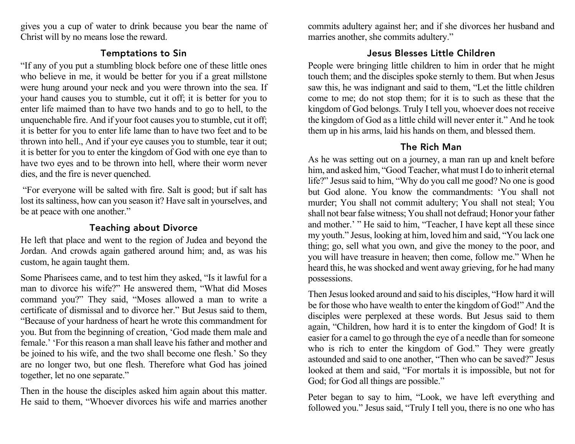gives you a cup of water to drink because you bear the name of Christ will by no means lose the reward.

#### Temptations to Sin

"If any of you put a stumbling block before one of these little ones who believe in me, it would be better for you if a great millstone were hung around your neck and you were thrown into the sea. If your hand causes you to stumble, cut it off; it is better for you to enter life maimed than to have two hands and to go to hell, to the unquenchable fire. And if your foot causes you to stumble, cut it off; it is better for you to enter life lame than to have two feet and to be thrown into hell., And if your eye causes you to stumble, tear it out; it is better for you to enter the kingdom of God with one eye than to have two eyes and to be thrown into hell, where their worm never dies, and the fire is never quenched.

"For everyone will be salted with fire. Salt is good; but if salt has lost its saltiness, how can you season it? Have salt in yourselves, and be at peace with one another."

#### Teaching about Divorce

He left that place and went to the region of Judea and beyond the Jordan. And crowds again gathered around him; and, as was his custom, he again taught them.

Some Pharisees came, and to test him they asked, "Is it lawful for a man to divorce his wife?" He answered them, "What did Moses command you?" They said, "Moses allowed a man to write a certificate of dismissal and to divorce her." But Jesus said to them, "Because of your hardness of heart he wrote this commandment for you. But from the beginning of creation, 'God made them male and female.' 'For this reason a man shall leave his father and mother and be joined to his wife, and the two shall become one flesh.' So they are no longer two, but one flesh. Therefore what God has joined together, let no one separate."

Then in the house the disciples asked him again about this matter. He said to them, "Whoever divorces his wife and marries another commits adultery against her; and if she divorces her husband and marries another, she commits adultery."

# Jesus Blesses Little Children

People were bringing little children to him in order that he might touch them; and the disciples spoke sternly to them. But when Jesus saw this, he was indignant and said to them, "Let the little children come to me; do not stop them; for it is to such as these that the kingdom of God belongs. Truly I tell you, whoever does not receive the kingdom of God as a little child will never enter it." And he took them up in his arms, laid his hands on them, and blessed them.

# The Rich Man

As he was setting out on a journey, a man ran up and knelt before him, and asked him, "Good Teacher, what must I do to inherit eternal life?" Jesus said to him, "Why do you call me good? No one is good but God alone. You know the commandments: 'You shall not murder; You shall not commit adultery; You shall not steal; You shall not bear false witness; You shall not defraud; Honor your father and mother.' " He said to him, "Teacher, I have kept all these since my youth." Jesus, looking at him, loved him and said, "You lack one thing; go, sell what you own, and give the money to the poor, and you will have treasure in heaven; then come, follow me." When he heard this, he was shocked and went away grieving, for he had many possessions.

Then Jesus looked around and said to his disciples, "How hard it will be for those who have wealth to enter the kingdom of God!" And the disciples were perplexed at these words. But Jesus said to them again, "Children, how hard it is to enter the kingdom of God! It is easier for a camel to go through the eye of a needle than for someone who is rich to enter the kingdom of God." They were greatly astounded and said to one another, "Then who can be saved?" Jesus looked at them and said, "For mortals it is impossible, but not for God; for God all things are possible."

Peter began to say to him, "Look, we have left everything and followed you." Jesus said, "Truly I tell you, there is no one who has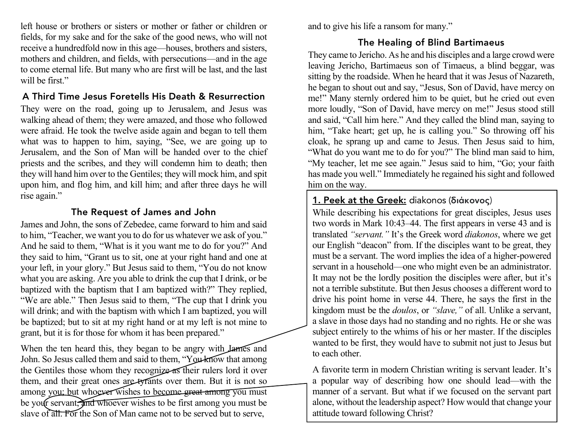left house or brothers or sisters or mother or father or children or fields, for my sake and for the sake of the good news, who will not receive a hundredfold now in this age—houses, brothers and sisters, mothers and children, and fields, with persecutions—and in the age to come eternal life. But many who are first will be last, and the last will be first."

#### A Third Time Jesus Foretells His Death & Resurrection

They were on the road, going up to Jerusalem, and Jesus was walking ahead of them; they were amazed, and those who followed were afraid. He took the twelve aside again and began to tell them what was to happen to him, saying, "See, we are going up to Jerusalem, and the Son of Man will be handed over to the chief priests and the scribes, and they will condemn him to death; then they will hand him over to the Gentiles; they will mock him, and spit upon him, and flog him, and kill him; and after three days he will rise again."

#### The Request of James and John

James and John, the sons of Zebedee, came forward to him and said to him, "Teacher, we want you to do for us whatever we ask of you." And he said to them, "What is it you want me to do for you?" And they said to him, "Grant us to sit, one at your right hand and one at your left, in your glory." But Jesus said to them, "You do not know what you are asking. Are you able to drink the cup that I drink, or be baptized with the baptism that I am baptized with?" They replied, "We are able." Then Jesus said to them, "The cup that I drink you will drink; and with the baptism with which I am baptized, you will be baptized; but to sit at my right hand or at my left is not mine to grant, but it is for those for whom it has been prepared."

When the ten heard this, they began to be angry with *Lames* and John. So Jesus called them and said to them, "You know that among the Gentiles those whom they recognize as their rulers lord it over them, and their great ones are tyrants over them. But it is not so among you; but whoever wishes to become great among you must be your servant, and whoever wishes to be first among you must be slave of all. For the Son of Man came not to be served but to serve,

and to give his life a ransom for many."

#### The Healing of Blind Bartimaeus

They came to Jericho. As he and his disciples and a large crowd were leaving Jericho, Bartimaeus son of Timaeus, a blind beggar, was sitting by the roadside. When he heard that it was Jesus of Nazareth, he began to shout out and say, "Jesus, Son of David, have mercy on me!" Many sternly ordered him to be quiet, but he cried out even more loudly, "Son of David, have mercy on me!" Jesus stood still and said, "Call him here." And they called the blind man, saying to him, "Take heart; get up, he is calling you." So throwing off his cloak, he sprang up and came to Jesus. Then Jesus said to him, "What do you want me to do for you?" The blind man said to him, "My teacher, let me see again." Jesus said to him, "Go; your faith has made you well." Immediately he regained his sight and followed him on the way.

## 1. Peek at the Greek: diakonos (διάκονος)

While describing his expectations for great disciples, Jesus uses two words in Mark 10:43–44. The first appears in verse 43 and is translated *"servant."* It's the Greek word *diakonos*, where we get our English "deacon" from. If the disciples want to be great, they must be a servant. The word implies the idea of a higher-powered servant in a household—one who might even be an administrator. It may not be the lordly position the disciples were after, but it's not a terrible substitute. But then Jesus chooses a different word to drive his point home in verse 44. There, he says the first in the kingdom must be the *doulos*, or *"slave,"* of all. Unlike a servant, a slave in those days had no standing and no rights. He or she was subject entirely to the whims of his or her master. If the disciples wanted to be first, they would have to submit not just to Jesus but to each other.

A favorite term in modern Christian writing is servant leader. It's a popular way of describing how one should lead—with the manner of a servant. But what if we focused on the servant part alone, without the leadership aspect? How would that change your attitude toward following Christ?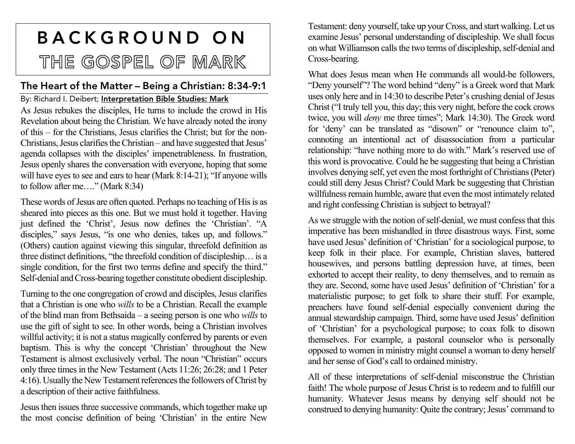# BACKGROUND ON THE GOSPEL OF MARK

# The Heart of the Matter – Being a Christian: 8:34-9:1

#### By: Richard I. Deibert; Interpretation Bible Studies: Mark

As Jesus rebukes the disciples, He turns to include the crowd in His Revelation about being the Christian. We have already noted the irony of this – for the Christians, Jesus clarifies the Christ; but for the non-Christians, Jesus clarifies the Christian – and have suggested that Jesus' agenda collapses with the disciples' impenetrableness. In frustration, Jesus openly shares the conversation with everyone, hoping that some will have eyes to see and ears to hear (Mark 8:14-21); "If anyone wills to follow after me…." (Mark 8:34)

These words of Jesus are often quoted. Perhaps no teaching of His is as sheared into pieces as this one. But we must hold it together. Having just defined the 'Christ', Jesus now defines the 'Christian'. "A disciples," says Jesus, "is one who denies, takes up, and follows." (Others) caution against viewing this singular, threefold definition as three distinct definitions, "the threefold condition of discipleship… is a single condition, for the first two terms define and specify the third." Self-denial and Cross-bearing together constitute obedient discipleship.

Turning to the one congregation of crowd and disciples, Jesus clarifies that a Christian is one who *wills* to be a Christian. Recall the example of the blind man from Bethsaida – a seeing person is one who *wills* to use the gift of sight to see. In other words, being a Christian involves willful activity; it is not a status magically conferred by parents or even baptism. This is why the concept 'Christian' throughout the New Testament is almost exclusively verbal. The noun "Christian" occurs only three times in the New Testament (Acts 11:26; 26:28; and 1 Peter 4:16). Usually the New Testament references the followers of Christ by a description of their active faithfulness.

Jesus then issues three successive commands, which together make up the most concise definition of being 'Christian' in the entire New Testament: deny yourself, take up your Cross, and start walking. Let us examine Jesus' personal understanding of discipleship. We shall focus on what Williamson calls the two terms of discipleship, self-denial and Cross-bearing.

What does Jesus mean when He commands all would-be followers, "Deny yourself"? The word behind "deny" is a Greek word that Mark uses only here and in 14:30 to describe Peter's crushing denial of Jesus Christ ("I truly tell you, this day; this very night, before the cock crows twice, you will *deny* me three times"; Mark 14:30). The Greek word for 'deny' can be translated as "disown" or "renounce claim to", connoting an intentional act of disassociation from a particular relationship: "have nothing more to do with." Mark's reserved use of this word is provocative. Could he be suggesting that being a Christian involves denying self, yet even the most forthright of Christians (Peter) could still deny Jesus Christ? Could Mark be suggesting that Christian willfulness remain humble, aware that even the most intimately related and right confessing Christian is subject to betrayal?

As we struggle with the notion of self-denial, we must confess that this imperative has been mishandled in three disastrous ways. First, some have used Jesus' definition of 'Christian' for a sociological purpose, to keep folk in their place. For example, Christian slaves, battered housewives, and persons battling depression have, at times, been exhorted to accept their reality, to deny themselves, and to remain as they are. Second, some have used Jesus' definition of 'Christian' for a materialistic purpose; to get folk to share their stuff. For example, preachers have found self-denial especially convenient during the annual stewardship campaign. Third, some have used Jesus' definition of 'Christian' for a psychological purpose; to coax folk to disown themselves. For example, a pastoral counselor who is personally opposed to women in ministry might counsel a woman to deny herself and her sense of God's call to ordained ministry.

All of these interpretations of self-denial misconstrue the Christian faith! The whole purpose of Jesus Christ is to redeem and to fulfill our humanity. Whatever Jesus means by denying self should not be construed to denying humanity: Quite the contrary; Jesus' command to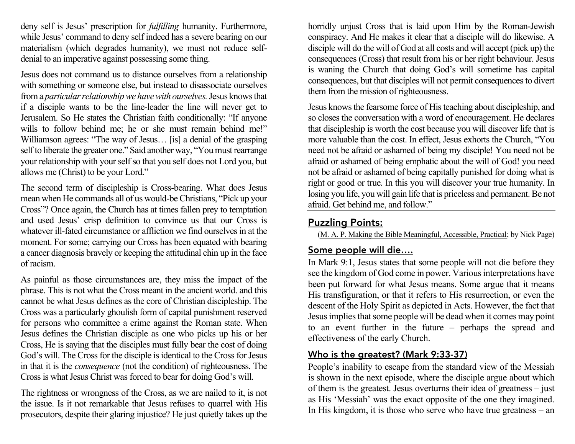deny self is Jesus' prescription for *fulfilling* humanity. Furthermore, while Jesus' command to deny self indeed has a severe bearing on our materialism (which degrades humanity), we must not reduce selfdenial to an imperative against possessing some thing.

Jesus does not command us to distance ourselves from a relationship with something or someone else, but instead to disassociate ourselves from a *particular relationship we have with ourselves.*Jesus knows that if a disciple wants to be the line-leader the line will never get to Jerusalem. So He states the Christian faith conditionally: "If anyone wills to follow behind me; he or she must remain behind me!" Williamson agrees: "The way of Jesus... [is] a denial of the grasping self to liberate the greater one." Said another way, "You must rearrange your relationship with your self so that you self does not Lord you, but allows me (Christ) to be your Lord."

The second term of discipleship is Cross-bearing. What does Jesus mean when He commands all of us would-be Christians, "Pick up your Cross"? Once again, the Church has at times fallen prey to temptation and used Jesus' crisp definition to convince us that our Cross is whatever ill-fated circumstance or affliction we find ourselves in at the moment. For some; carrying our Cross has been equated with bearing a cancer diagnosis bravely or keeping the attitudinal chin up in the face of racism.

As painful as those circumstances are, they miss the impact of the phrase. This is not what the Cross meant in the ancient world. and this cannot be what Jesus defines as the core of Christian discipleship. The Cross was a particularly ghoulish form of capital punishment reserved for persons who committee a crime against the Roman state. When Jesus defines the Christian disciple as one who picks up his or her Cross, He is saying that the disciples must fully bear the cost of doing God's will. The Cross for the disciple is identical to the Cross for Jesus in that it is the *consequence* (not the condition) of righteousness. The Cross is what Jesus Christ was forced to bear for doing God's will.

The rightness or wrongness of the Cross, as we are nailed to it, is not the issue. Is it not remarkable that Jesus refuses to quarrel with His prosecutors, despite their glaring injustice? He just quietly takes up the horridly unjust Cross that is laid upon Him by the Roman-Jewish conspiracy. And He makes it clear that a disciple will do likewise. A disciple will do the will of God at all costs and will accept (pick up) the consequences (Cross) that result from his or her right behaviour. Jesus is waning the Church that doing God's will sometime has capital consequences, but that disciples will not permit consequences to divert them from the mission of righteousness.

Jesus knows the fearsome force of His teaching about discipleship, and so closes the conversation with a word of encouragement. He declares that discipleship is worth the cost because you will discover life that is more valuable than the cost. In effect, Jesus exhorts the Church, "You need not be afraid or ashamed of being my disciple! You need not be afraid or ashamed of being emphatic about the will of God! you need not be afraid or ashamed of being capitally punished for doing what is right or good or true. In this you will discover your true humanity. In losing you life, you will gain life that is priceless and permanent. Be not afraid. Get behind me, and follow."

# Puzzling Points:

(M. A. P. Making the Bible Meaningful, Accessible, Practical; by Nick Page)

# Some people will die….

In Mark 9:1, Jesus states that some people will not die before they see the kingdom of God come in power. Various interpretations have been put forward for what Jesus means. Some argue that it means His transfiguration, or that it refers to His resurrection, or even the descent of the Holy Spirit as depicted in Acts. However, the fact that Jesus implies that some people will be dead when it comes may point to an event further in the future – perhaps the spread and effectiveness of the early Church.

# Who is the greatest? (Mark 9:33-37)

People's inability to escape from the standard view of the Messiah is shown in the next episode, where the disciple argue about which of them is the greatest. Jesus overturns their idea of greatness – just as His 'Messiah' was the exact opposite of the one they imagined. In His kingdom, it is those who serve who have true greatness – an